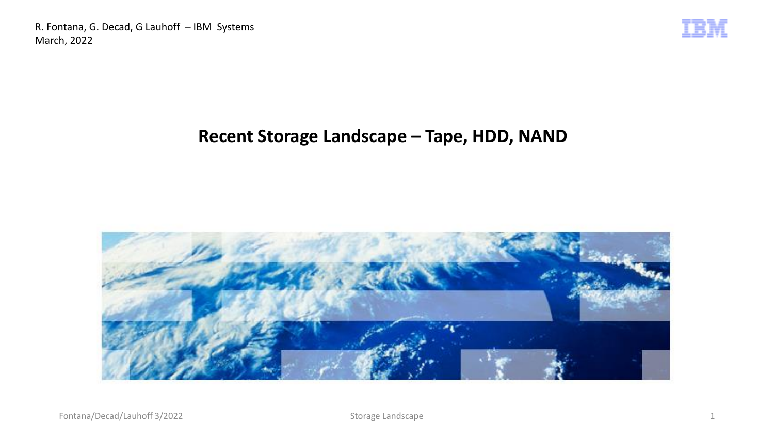

### **Recent Storage Landscape – Tape, HDD, NAND**

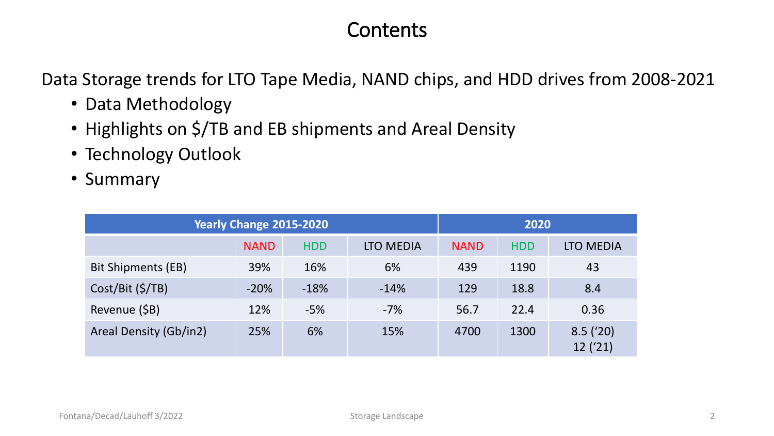## **Contents**

Data Storage trends for LTO Tape Media, NAND chips, and HDD drives from 2008-2021

- Data Methodology
- Highlights on \$/TB and EB shipments and Areal Density
- Technology Outlook
- Summary

| Yearly Change 2015-2020 |             |            |                  |             | 2020       |                    |  |  |
|-------------------------|-------------|------------|------------------|-------------|------------|--------------------|--|--|
|                         | <b>NAND</b> | <b>HDD</b> | <b>LTO MEDIA</b> | <b>NAND</b> | <b>HDD</b> | <b>LTO MEDIA</b>   |  |  |
| Bit Shipments (EB)      | 39%         | 16%        | 6%               | 439         | 1190       | 43                 |  |  |
| $Cost/Bit$ (\$/TB)      | $-20%$      | $-18%$     | $-14%$           | 129         | 18.8       | 8.4                |  |  |
| Revenue (\$B)           | 12%         | $-5%$      | $-7%$            | 56.7        | 22.4       | 0.36               |  |  |
| Areal Density (Gb/in2)  | 25%         | 6%         | 15%              | 4700        | 1300       | 8.5(20)<br>12('21) |  |  |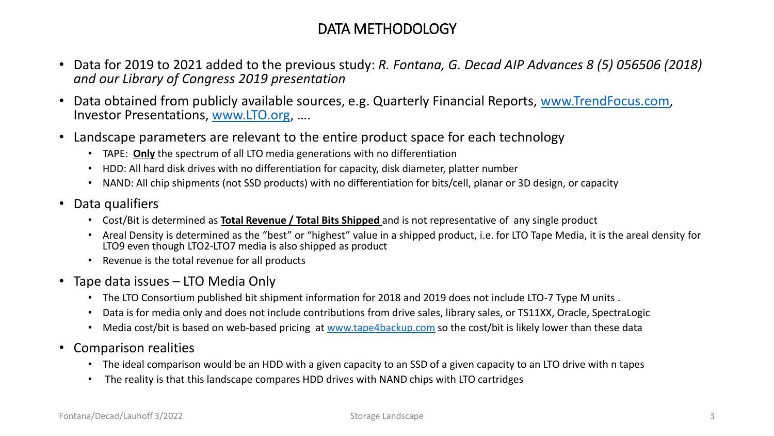#### DATA METHODOLOGY

- Data for 2019 to 2021 added to the previous study: *R. Fontana, G. Decad AIP Advances 8 (5) 056506 (2018) and our Library of Congress 2019 presentation*
- Data obtained from publicly available sources, e.g. Quarterly Financial Reports, [www.TrendFocus.com](http://www.trendfocus.com/), Investor Presentations, [www.LTO.org](http://www.lto.org/), ….
- Landscape parameters are relevant to the entire product space for each technology
	- TAPE: **Only** the spectrum of all LTO media generations with no differentiation
	- HDD: All hard disk drives with no differentiation for capacity, disk diameter, platter number
	- NAND: All chip shipments (not SSD products) with no differentiation for bits/cell, planar or 3D design, or capacity
- Data qualifiers
	- Cost/Bit is determined as **Total Revenue / Total Bits Shipped** and is not representative of any single product
	- Areal Density is determined as the "best" or "highest" value in a shipped product, i.e. for LTO Tape Media, it is the areal density for LTO9 even though LTO2-LTO7 media is also shipped as product
	- Revenue is the total revenue for all products
- Tape data issues LTO Media Only
	- The LTO Consortium published bit shipment information for 2018 and 2019 does not include LTO-7 Type M units .
	- Data is for media only and does not include contributions from drive sales, library sales, or TS11XX, Oracle, SpectraLogic
	- Media cost/bit is based on web-based pricing at [www.tape4backup.com](http://www.tape4backup.com/) so the cost/bit is likely lower than these data
- Comparison realities
	- The ideal comparison would be an HDD with a given capacity to an SSD of a given capacity to an LTO drive with n tapes
	- The reality is that this landscape compares HDD drives with NAND chips with LTO cartridges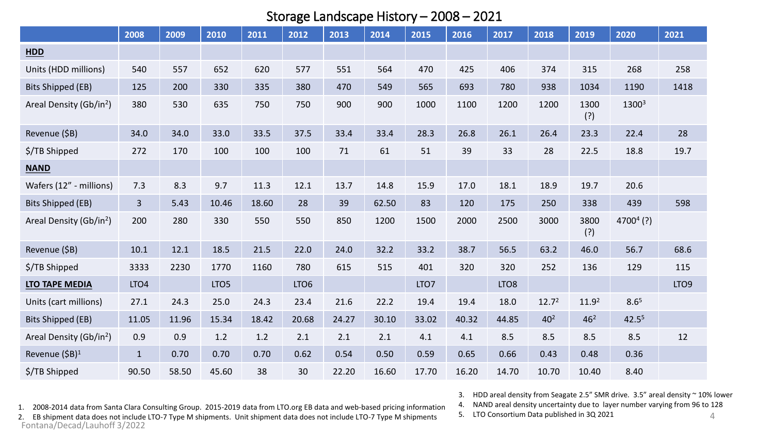#### Storage Landscape History – 2008 – 2021

|                                     | 2008             | 2009  | 2010             | 2011  | 2012             | 2013  | 2014  | 2015             | 2016  | 2017             | 2018              | 2019              | 2020              | 2021             |
|-------------------------------------|------------------|-------|------------------|-------|------------------|-------|-------|------------------|-------|------------------|-------------------|-------------------|-------------------|------------------|
| <b>HDD</b>                          |                  |       |                  |       |                  |       |       |                  |       |                  |                   |                   |                   |                  |
| Units (HDD millions)                | 540              | 557   | 652              | 620   | 577              | 551   | 564   | 470              | 425   | 406              | 374               | 315               | 268               | 258              |
| <b>Bits Shipped (EB)</b>            | 125              | 200   | 330              | 335   | 380              | 470   | 549   | 565              | 693   | 780              | 938               | 1034              | 1190              | 1418             |
| Areal Density (Gb/in <sup>2</sup> ) | 380              | 530   | 635              | 750   | 750              | 900   | 900   | 1000             | 1100  | 1200             | 1200              | 1300<br>(?)       | 13003             |                  |
| Revenue (\$B)                       | 34.0             | 34.0  | 33.0             | 33.5  | 37.5             | 33.4  | 33.4  | 28.3             | 26.8  | 26.1             | 26.4              | 23.3              | 22.4              | 28               |
| \$/TB Shipped                       | 272              | 170   | 100              | 100   | 100              | 71    | 61    | 51               | 39    | 33               | 28                | 22.5              | 18.8              | 19.7             |
| <b>NAND</b>                         |                  |       |                  |       |                  |       |       |                  |       |                  |                   |                   |                   |                  |
| Wafers (12" - millions)             | 7.3              | 8.3   | 9.7              | 11.3  | 12.1             | 13.7  | 14.8  | 15.9             | 17.0  | 18.1             | 18.9              | 19.7              | 20.6              |                  |
| <b>Bits Shipped (EB)</b>            | $\overline{3}$   | 5.43  | 10.46            | 18.60 | 28               | 39    | 62.50 | 83               | 120   | 175              | 250               | 338               | 439               | 598              |
| Areal Density (Gb/in <sup>2</sup> ) | 200              | 280   | 330              | 550   | 550              | 850   | 1200  | 1500             | 2000  | 2500             | 3000              | 3800<br>(?)       | $47004$ (?)       |                  |
| Revenue (\$B)                       | 10.1             | 12.1  | 18.5             | 21.5  | 22.0             | 24.0  | 32.2  | 33.2             | 38.7  | 56.5             | 63.2              | 46.0              | 56.7              | 68.6             |
| \$/TB Shipped                       | 3333             | 2230  | 1770             | 1160  | 780              | 615   | 515   | 401              | 320   | 320              | 252               | 136               | 129               | 115              |
| LTO TAPE MEDIA                      | LTO <sub>4</sub> |       | LTO <sub>5</sub> |       | LTO <sub>6</sub> |       |       | LTO <sub>7</sub> |       | LTO <sub>8</sub> |                   |                   |                   | LTO <sub>9</sub> |
| Units (cart millions)               | 27.1             | 24.3  | 25.0             | 24.3  | 23.4             | 21.6  | 22.2  | 19.4             | 19.4  | 18.0             | 12.7 <sup>2</sup> | 11.9 <sup>2</sup> | 8.6 <sup>5</sup>  |                  |
| <b>Bits Shipped (EB)</b>            | 11.05            | 11.96 | 15.34            | 18.42 | 20.68            | 24.27 | 30.10 | 33.02            | 40.32 | 44.85            | 40 <sup>2</sup>   | 46 <sup>2</sup>   | 42.5 <sup>5</sup> |                  |
| Areal Density (Gb/in <sup>2</sup> ) | 0.9              | 0.9   | 1.2              | 1.2   | 2.1              | 2.1   | 2.1   | 4.1              | 4.1   | 8.5              | 8.5               | 8.5               | 8.5               | 12               |
| Revenue (\$B) <sup>1</sup>          | $\mathbf{1}$     | 0.70  | 0.70             | 0.70  | 0.62             | 0.54  | 0.50  | 0.59             | 0.65  | 0.66             | 0.43              | 0.48              | 0.36              |                  |
| \$/TB Shipped                       | 90.50            | 58.50 | 45.60            | 38    | 30               | 22.20 | 16.60 | 17.70            | 16.20 | 14.70            | 10.70             | 10.40             | 8.40              |                  |

1. 2008-2014 data from Santa Clara Consulting Group. 2015-2019 data from LTO.org EB data and web-based pricing information

2. EB shipment data does not include LTO-7 Type M shipments. Unit shipment data does not include LTO-7 Type M shipments Fontana/Decad/Lauhoff 3/2022

3. HDD areal density from Seagate 2.5" SMR drive. 3.5" areal density ~ 10% lower

4. NAND areal density uncertainty due to layer number varying from 96 to 128

5. LTO Consortium Data published in 3Q 2021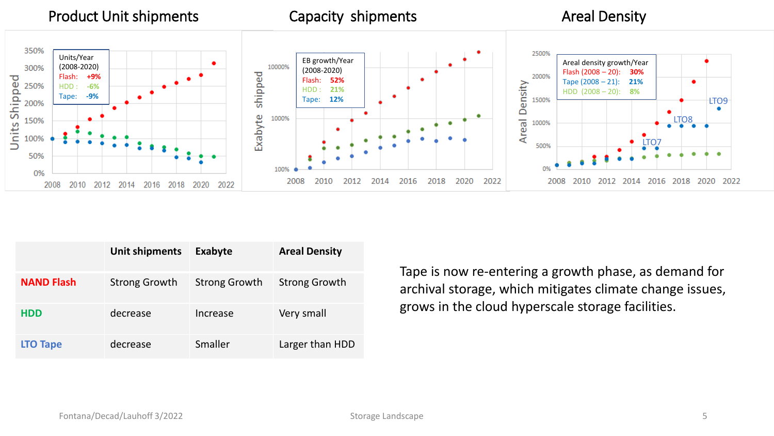

|                   | Unit shipments       | Exabyte              | <b>Areal Density</b> |
|-------------------|----------------------|----------------------|----------------------|
| <b>NAND Flash</b> | <b>Strong Growth</b> | <b>Strong Growth</b> | <b>Strong Growth</b> |
| <b>HDD</b>        | decrease             | Increase             | Very small           |
| <b>LTO Tape</b>   | decrease             | Smaller              | Larger than HDD      |

Tape is now re-entering a growth phase, as demand for archival storage, which mitigates climate change issues, grows in the cloud hyperscale storage facilities.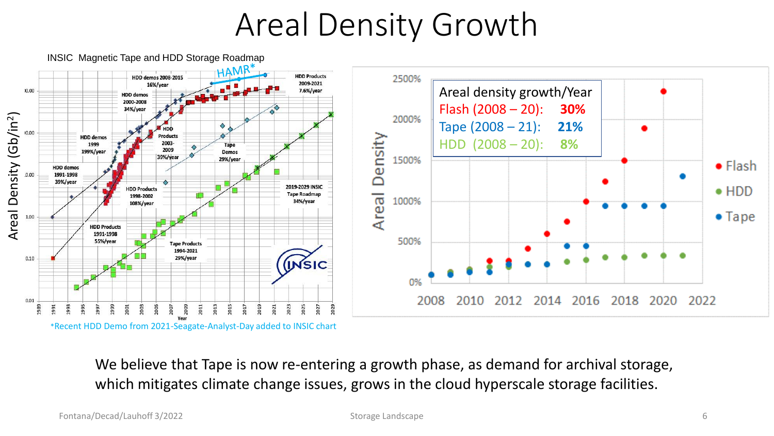# Areal Density Growth



We believe that Tape is now re-entering a growth phase, as demand for archival storage, which mitigates climate change issues, grows in the cloud hyperscale storage facilities.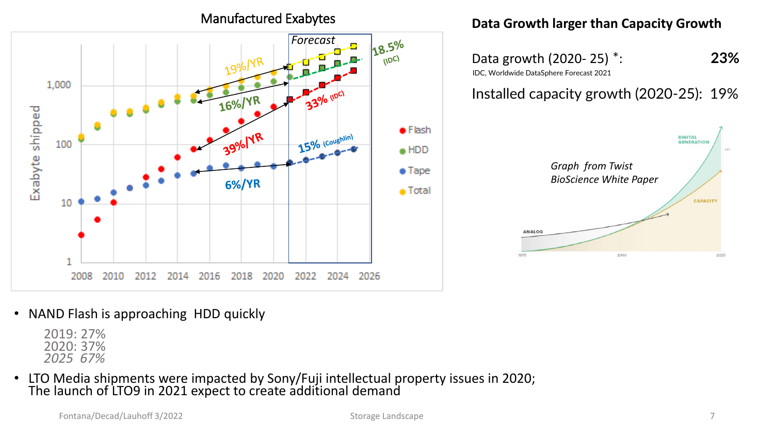Manufactured Exabytes



#### **Data Growth larger than Capacity Growth**

Data growth (2020- 25) \*: **23%** IDC, Worldwide DataSphere Forecast 2021

#### Installed capacity growth (2020-25): 19%



• NAND Flash is approaching HDD quickly

2019: 27% 2020: 37% *2025 67%* 

• LTO Media shipments were impacted by Sony/Fuji intellectual property issues in 2020; The launch of LTO9 in 2021 expect to create additional demand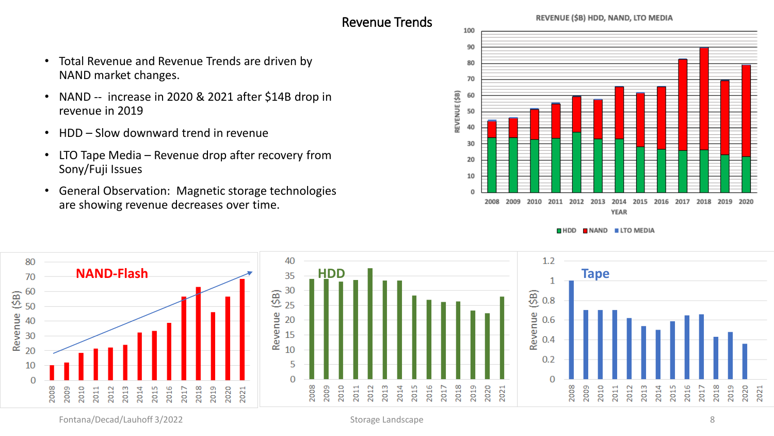#### Revenue Trends

REVENUE (\$B) HDD, NAND, LTO MEDIA



- NAND -- increase in 2020 & 2021 after \$14B drop in revenue in 2019
- HDD Slow downward trend in revenue
- LTO Tape Media Revenue drop after recovery from Sony/Fuji Issues
- General Observation: Magnetic storage technologies are showing revenue decreases over time.



 $NAND$  LTO MEDIA  $\blacksquare$  HDD

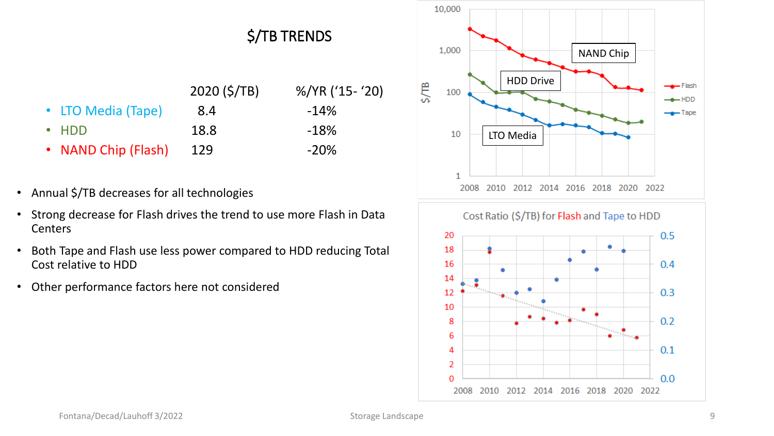

- Annual \$/TB decreases for all technologies
- Strong decrease for Flash drives the trend to use more Flash in Data Centers
- Both Tape and Flash use less power compared to HDD reducing Total Cost relative to HDD
- Other performance factors here not considered



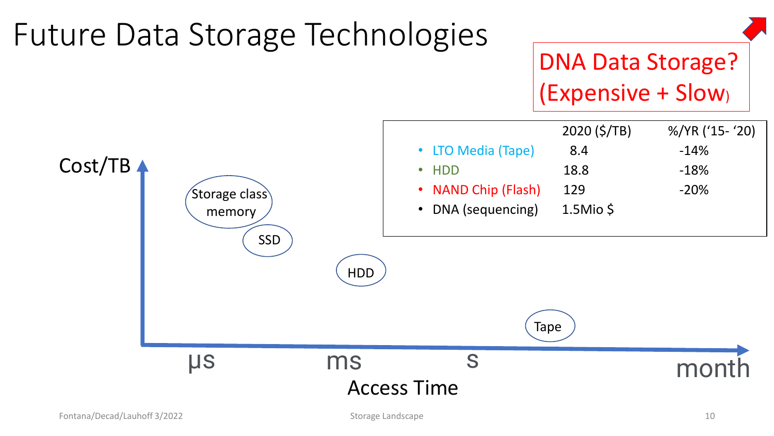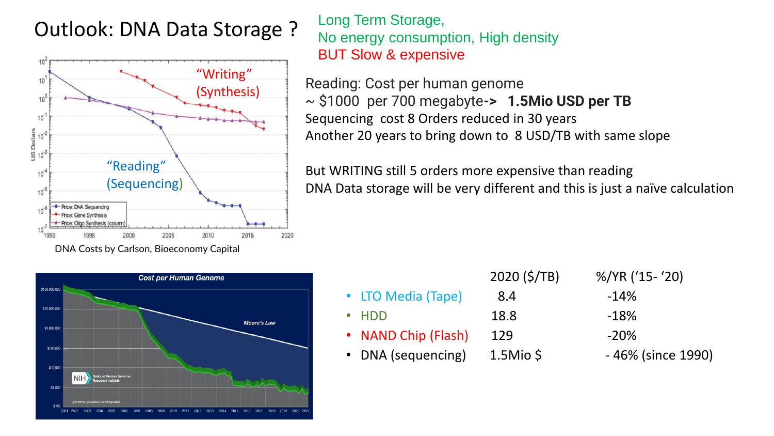## Outlook: DNA Data Storage Outlook: DNA Data Storage ?



Long Term Storage, No energy consumption, High density BUT Slow & expensive

Reading: Cost per human genome ~ \$1000 per 700 megabyte**-> 1.5Mio USD per TB** Sequencing cost 8 Orders reduced in 30 years Another 20 years to bring down to 8 USD/TB with same slope

But WRITING still 5 orders more expensive than reading DNA Data storage will be very different and this is just a naïve calculation



|                     | 2020 (5/TB)  | %/YR ('15- '20)   |
|---------------------|--------------|-------------------|
| • LTO Media (Tape)  | 8.4          | $-14%$            |
| $\cdot$ HDD         | 18.8         | $-18%$            |
| • NAND Chip (Flash) | 129          | $-20%$            |
| • DNA (sequencing)  | $1.5M$ io \$ | -46% (since 1990) |
|                     |              |                   |